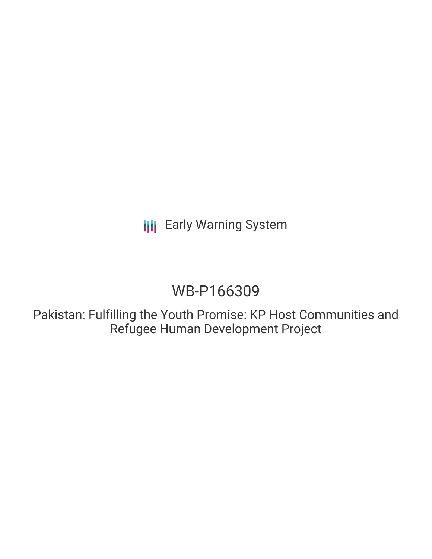**III** Early Warning System

# WB-P166309

Pakistan: Fulfilling the Youth Promise: KP Host Communities and Refugee Human Development Project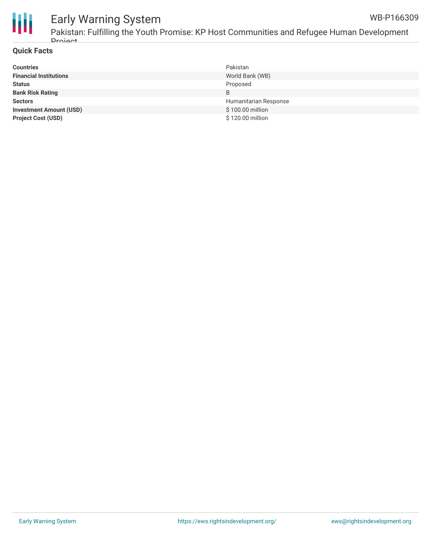

# Early Warning System

Pakistan: Fulfilling the Youth Promise: KP Host Communities and Refugee Human Development **Droject** 

#### **Quick Facts**

| <b>Countries</b>               | Pakistan              |
|--------------------------------|-----------------------|
| <b>Financial Institutions</b>  | World Bank (WB)       |
| <b>Status</b>                  | Proposed              |
| <b>Bank Risk Rating</b>        | B                     |
| <b>Sectors</b>                 | Humanitarian Response |
| <b>Investment Amount (USD)</b> | \$100.00 million      |
| <b>Project Cost (USD)</b>      | \$120.00 million      |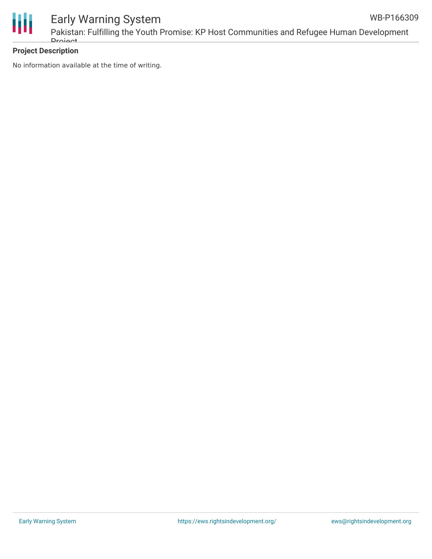

#### Early Warning System Pakistan: Fulfilling the Youth Promise: KP Host Communities and Refugee Human Development **Droject** WB-P166309

### **Project Description**

No information available at the time of writing.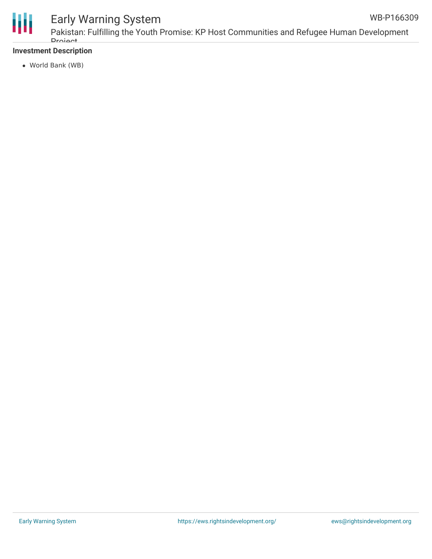

## Early Warning System

Pakistan: Fulfilling the Youth Promise: KP Host Communities and Refugee Human Development **Droject** WB-P166309

### **Investment Description**

World Bank (WB)